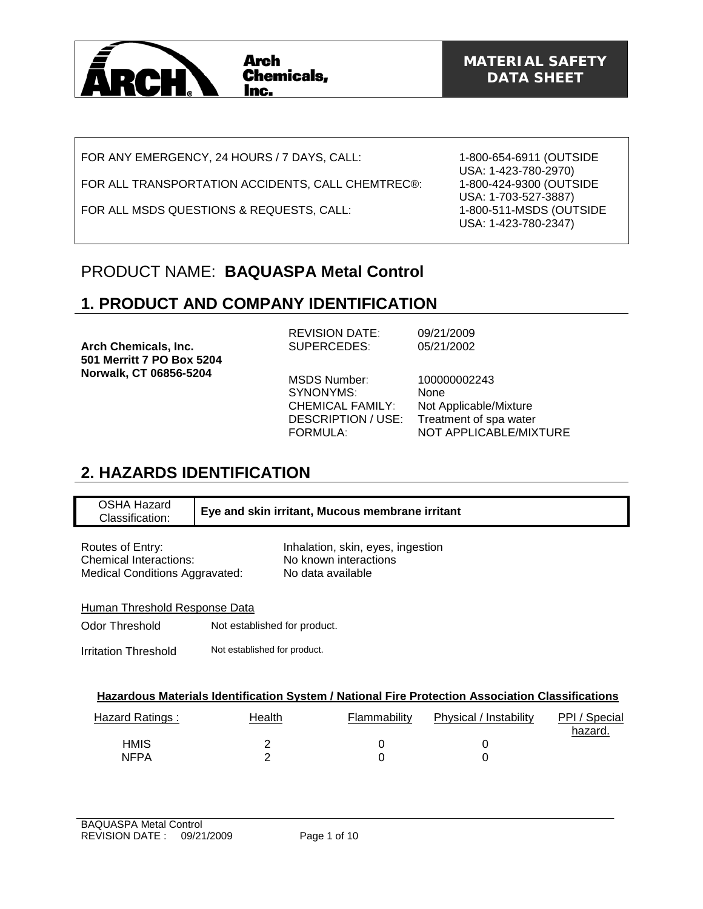

FOR ANY EMERGENCY, 24 HOURS / 7 DAYS, CALL:

FOR ALL TRANSPORTATION ACCIDENTS, CALL CHEMTREC®:

FOR ALL MSDS QUESTIONS & REQUESTS, CALL:

1-800-654-6911 (OUTSIDE USA: 1-423-780-2970) 1-800-424-9300 (OUTSIDE USA: 1-703-527-3887) 1-800-511-MSDS (OUTSIDE USA: 1-423-780-2347)

### PRODUCT NAME: **BAQUASPA Metal Control**

# **1. PRODUCT AND COMPANY IDENTIFICATION**

**Arch Chemicals, Inc. 501 Merritt 7 PO Box 5204 Norwalk, CT 06856-5204** 

REVISION DATE: 09/21/2009<br>SUPERCEDES: 05/21/2002 SUPERCEDES:

MSDS Number: 100000002243 SYNONYMS: None

CHEMICAL FAMILY: Not Applicable/Mixture DESCRIPTION / USE: Treatment of spa water FORMULA: NOT APPLICABLE/MIXTURE

### **2. HAZARDS IDENTIFICATION**

| OSHA Hazard<br>Classification: | Eye and skin irritant, Mucous membrane irritant |
|--------------------------------|-------------------------------------------------|
|                                |                                                 |

| Routes of Entry:                      |  |
|---------------------------------------|--|
| <b>Chemical Interactions:</b>         |  |
| <b>Medical Conditions Aggravated:</b> |  |

Inhalation, skin, eyes, ingestion No known interactions No data available

Human Threshold Response Data

Odor Threshold Not established for product.

Irritation Threshold Not established for product.

|                                                 | Hazardous Materials Identification System / National Fire Protection Association Classifications |  |  |         |  |
|-------------------------------------------------|--------------------------------------------------------------------------------------------------|--|--|---------|--|
|                                                 |                                                                                                  |  |  |         |  |
| the contract of the contract of the contract of |                                                                                                  |  |  | _______ |  |

| Hazard Ratings: | Health | Flammability | Physical / Instability | PPI / Special<br>hazard. |
|-----------------|--------|--------------|------------------------|--------------------------|
| <b>HMIS</b>     |        |              |                        |                          |
| <b>NFPA</b>     |        |              |                        |                          |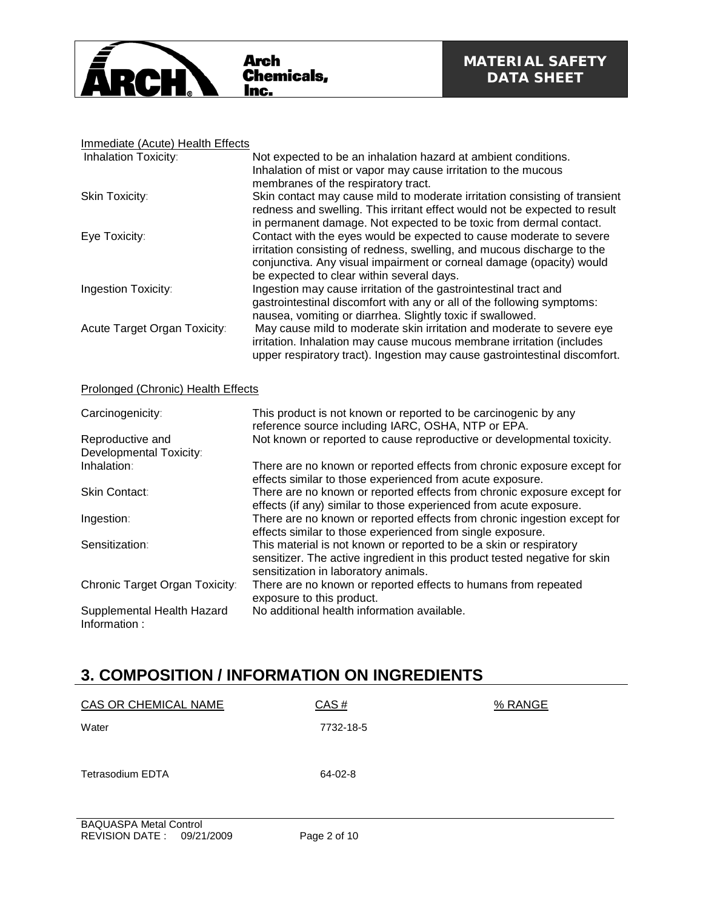

#### Immediate (Acute) Health Effects

| <b>Inhalation Toxicity:</b>  | Not expected to be an inhalation hazard at ambient conditions.<br>Inhalation of mist or vapor may cause irritation to the mucous<br>membranes of the respiratory tract.                                                                                             |
|------------------------------|---------------------------------------------------------------------------------------------------------------------------------------------------------------------------------------------------------------------------------------------------------------------|
| Skin Toxicity:               | Skin contact may cause mild to moderate irritation consisting of transient<br>redness and swelling. This irritant effect would not be expected to result<br>in permanent damage. Not expected to be toxic from dermal contact.                                      |
| Eye Toxicity:                | Contact with the eyes would be expected to cause moderate to severe<br>irritation consisting of redness, swelling, and mucous discharge to the<br>conjunctiva. Any visual impairment or corneal damage (opacity) would<br>be expected to clear within several days. |
| <b>Ingestion Toxicity:</b>   | Ingestion may cause irritation of the gastrointestinal tract and<br>gastrointestinal discomfort with any or all of the following symptoms:<br>nausea, vomiting or diarrhea. Slightly toxic if swallowed.                                                            |
| Acute Target Organ Toxicity: | May cause mild to moderate skin irritation and moderate to severe eye<br>irritation. Inhalation may cause mucous membrane irritation (includes<br>upper respiratory tract). Ingestion may cause gastrointestinal discomfort.                                        |

#### Prolonged (Chronic) Health Effects

| Carcinogenicity:                           | This product is not known or reported to be carcinogenic by any<br>reference source including IARC, OSHA, NTP or EPA.                                                                    |
|--------------------------------------------|------------------------------------------------------------------------------------------------------------------------------------------------------------------------------------------|
| Reproductive and                           | Not known or reported to cause reproductive or developmental toxicity.                                                                                                                   |
| Developmental Toxicity:                    |                                                                                                                                                                                          |
| Inhalation:                                | There are no known or reported effects from chronic exposure except for<br>effects similar to those experienced from acute exposure.                                                     |
| Skin Contact:                              | There are no known or reported effects from chronic exposure except for<br>effects (if any) similar to those experienced from acute exposure.                                            |
| Ingestion:                                 | There are no known or reported effects from chronic ingestion except for<br>effects similar to those experienced from single exposure.                                                   |
| Sensitization:                             | This material is not known or reported to be a skin or respiratory<br>sensitizer. The active ingredient in this product tested negative for skin<br>sensitization in laboratory animals. |
| Chronic Target Organ Toxicity:             | There are no known or reported effects to humans from repeated<br>exposure to this product.                                                                                              |
| Supplemental Health Hazard<br>Information: | No additional health information available.                                                                                                                                              |

### **3. COMPOSITION / INFORMATION ON INGREDIENTS**

| CAS OR CHEMICAL NAME          | CAS#      | % RANGE |
|-------------------------------|-----------|---------|
| Water                         | 7732-18-5 |         |
|                               |           |         |
| <b>Tetrasodium EDTA</b>       | 64-02-8   |         |
|                               |           |         |
|                               |           |         |
| <b>BAQUASPA Metal Control</b> |           |         |
| .                             | _______   |         |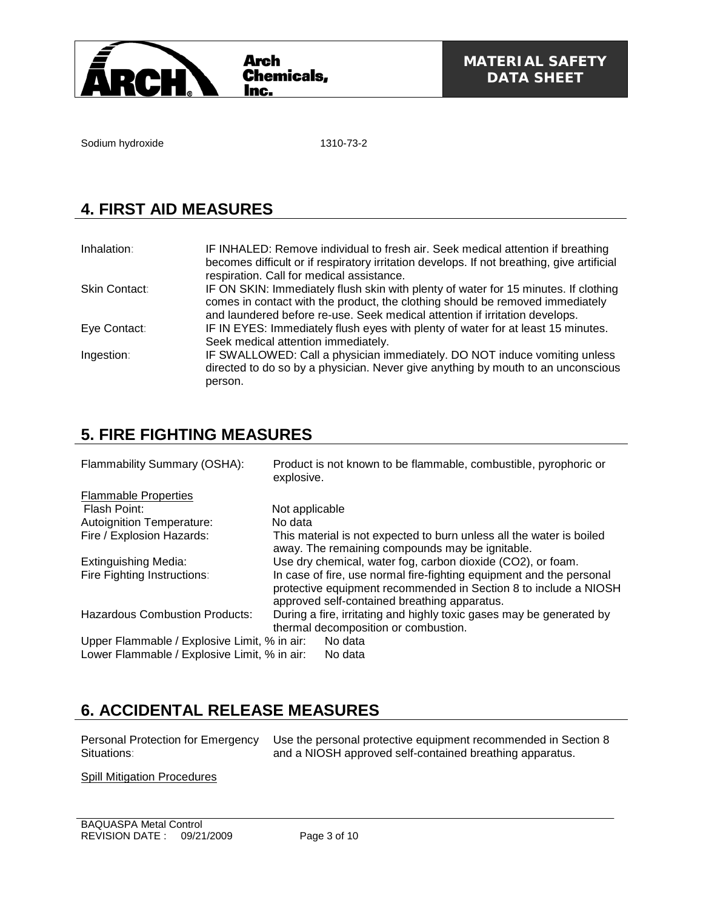

Sodium hydroxide 1310-73-2

# **4. FIRST AID MEASURES**

| Inhalation:   | IF INHALED: Remove individual to fresh air. Seek medical attention if breathing<br>becomes difficult or if respiratory irritation develops. If not breathing, give artificial<br>respiration. Call for medical assistance.                          |
|---------------|-----------------------------------------------------------------------------------------------------------------------------------------------------------------------------------------------------------------------------------------------------|
| Skin Contact: | IF ON SKIN: Immediately flush skin with plenty of water for 15 minutes. If clothing<br>comes in contact with the product, the clothing should be removed immediately<br>and laundered before re-use. Seek medical attention if irritation develops. |
| Eye Contact:  | IF IN EYES: Immediately flush eyes with plenty of water for at least 15 minutes.<br>Seek medical attention immediately.                                                                                                                             |
| Ingestion:    | IF SWALLOWED: Call a physician immediately. DO NOT induce vomiting unless<br>directed to do so by a physician. Never give anything by mouth to an unconscious<br>person.                                                                            |

# **5. FIRE FIGHTING MEASURES**

| Flammability Summary (OSHA):                                                                 | Product is not known to be flammable, combustible, pyrophoric or<br>explosive.                                                                                                           |
|----------------------------------------------------------------------------------------------|------------------------------------------------------------------------------------------------------------------------------------------------------------------------------------------|
| <b>Flammable Properties</b>                                                                  |                                                                                                                                                                                          |
| Flash Point:                                                                                 | Not applicable                                                                                                                                                                           |
| <b>Autoignition Temperature:</b>                                                             | No data                                                                                                                                                                                  |
| Fire / Explosion Hazards:                                                                    | This material is not expected to burn unless all the water is boiled<br>away. The remaining compounds may be ignitable.                                                                  |
| Extinguishing Media:                                                                         | Use dry chemical, water fog, carbon dioxide (CO2), or foam.                                                                                                                              |
| Fire Fighting Instructions:                                                                  | In case of fire, use normal fire-fighting equipment and the personal<br>protective equipment recommended in Section 8 to include a NIOSH<br>approved self-contained breathing apparatus. |
| <b>Hazardous Combustion Products:</b>                                                        | During a fire, irritating and highly toxic gases may be generated by<br>thermal decomposition or combustion.                                                                             |
| Upper Flammable / Explosive Limit, % in air:<br>Lower Flammable / Explosive Limit, % in air: | No data<br>No data                                                                                                                                                                       |

# **6. ACCIDENTAL RELEASE MEASURES**

Personal Protection for Emergency Situations:

Use the personal protective equipment recommended in Section 8 and a NIOSH approved self-contained breathing apparatus.

Spill Mitigation Procedures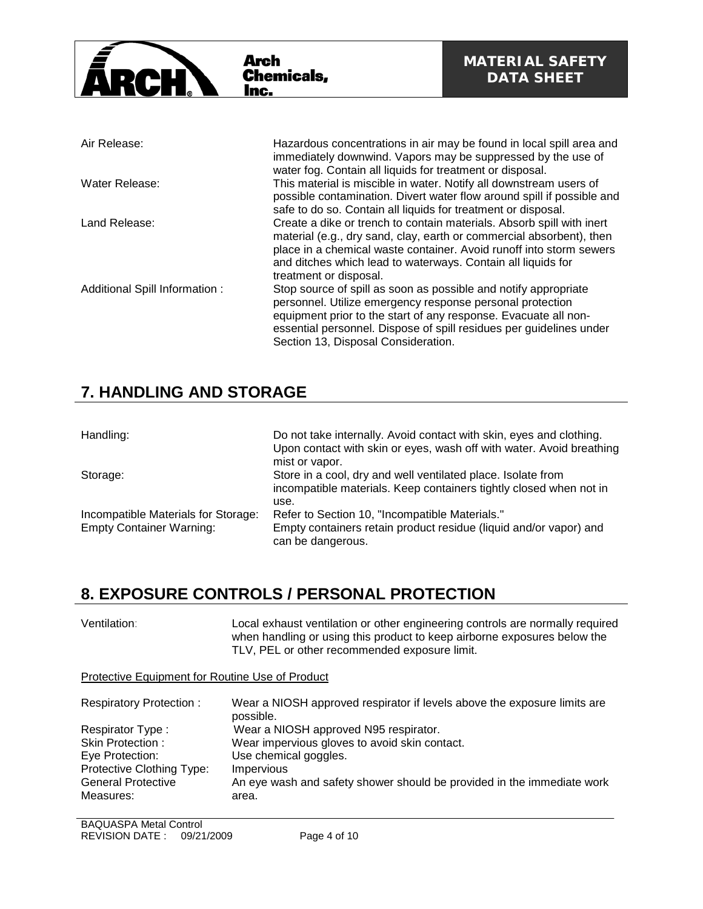

| Air Release:                  | Hazardous concentrations in air may be found in local spill area and<br>immediately downwind. Vapors may be suppressed by the use of<br>water fog. Contain all liquids for treatment or disposal.                                                                                                              |
|-------------------------------|----------------------------------------------------------------------------------------------------------------------------------------------------------------------------------------------------------------------------------------------------------------------------------------------------------------|
| Water Release:                | This material is miscible in water. Notify all downstream users of<br>possible contamination. Divert water flow around spill if possible and<br>safe to do so. Contain all liquids for treatment or disposal.                                                                                                  |
| Land Release:                 | Create a dike or trench to contain materials. Absorb spill with inert<br>material (e.g., dry sand, clay, earth or commercial absorbent), then<br>place in a chemical waste container. Avoid runoff into storm sewers<br>and ditches which lead to waterways. Contain all liquids for<br>treatment or disposal. |
| Additional Spill Information: | Stop source of spill as soon as possible and notify appropriate<br>personnel. Utilize emergency response personal protection<br>equipment prior to the start of any response. Evacuate all non-<br>essential personnel. Dispose of spill residues per guidelines under<br>Section 13, Disposal Consideration.  |

### **7. HANDLING AND STORAGE**

| Handling:                                                              | Do not take internally. Avoid contact with skin, eyes and clothing.<br>Upon contact with skin or eyes, wash off with water. Avoid breathing<br>mist or vapor. |
|------------------------------------------------------------------------|---------------------------------------------------------------------------------------------------------------------------------------------------------------|
| Storage:                                                               | Store in a cool, dry and well ventilated place. Isolate from<br>incompatible materials. Keep containers tightly closed when not in<br>use.                    |
| Incompatible Materials for Storage:<br><b>Empty Container Warning:</b> | Refer to Section 10, "Incompatible Materials."<br>Empty containers retain product residue (liquid and/or vapor) and<br>can be dangerous.                      |

### **8. EXPOSURE CONTROLS / PERSONAL PROTECTION**

| Ventilation: | Local exhaust ventilation or other engineering controls are normally required |
|--------------|-------------------------------------------------------------------------------|
|              | when handling or using this product to keep airborne exposures below the      |
|              | TLV, PEL or other recommended exposure limit.                                 |

Protective Equipment for Routine Use of Product

| <b>Respiratory Protection:</b> | Wear a NIOSH approved respirator if levels above the exposure limits are<br>possible. |
|--------------------------------|---------------------------------------------------------------------------------------|
| Respirator Type:               | Wear a NIOSH approved N95 respirator.                                                 |
| Skin Protection:               | Wear impervious gloves to avoid skin contact.                                         |
| Eye Protection:                | Use chemical goggles.                                                                 |
| Protective Clothing Type:      | <b>Impervious</b>                                                                     |
| <b>General Protective</b>      | An eye wash and safety shower should be provided in the immediate work                |
| Measures:                      | area.                                                                                 |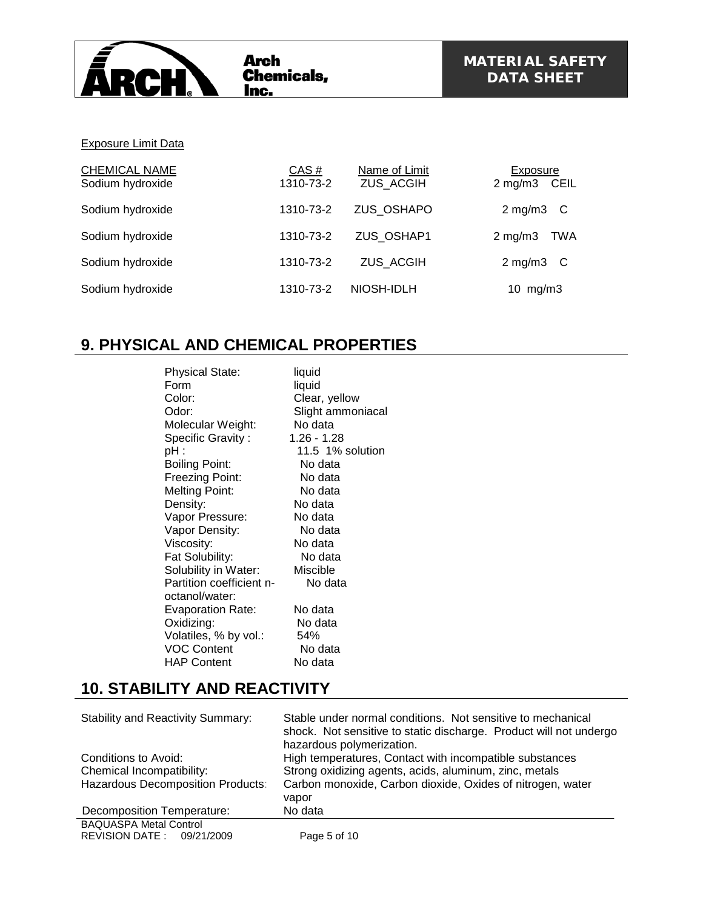

#### Exposure Limit Data

| <b>CHEMICAL NAME</b><br>Sodium hydroxide | CAS#<br>1310-73-2 | Name of Limit<br><b>ZUS ACGIH</b> | <b>Exposure</b><br>2 mg/m3 CEIL |
|------------------------------------------|-------------------|-----------------------------------|---------------------------------|
| Sodium hydroxide                         | 1310-73-2         | ZUS OSHAPO                        | $2 \text{ mg/m3}$ C             |
| Sodium hydroxide                         | 1310-73-2         | ZUS OSHAP1                        | $2$ mg/m $3$<br>TWA             |
| Sodium hydroxide                         | 1310-73-2         | <b>ZUS ACGIH</b>                  | $2 \text{ mg/m3}$ C             |
| Sodium hydroxide                         | 1310-73-2         | NIOSH-IDLH                        | 10 $mg/m3$                      |

#### **9. PHYSICAL AND CHEMICAL PROPERTIES**

| <b>Physical State:</b>   | liquid            |
|--------------------------|-------------------|
| Form                     | liquid            |
| Color:                   | Clear, yellow     |
| Odor:                    | Slight ammoniacal |
| Molecular Weight:        | No data           |
| <b>Specific Gravity:</b> | 1.26 - 1.28       |
| pH :                     | 11.5 1% solution  |
| <b>Boiling Point:</b>    | No data           |
| Freezing Point:          | No data           |
| <b>Melting Point:</b>    | No data           |
| Density:                 | No data           |
| Vapor Pressure:          | No data           |
| Vapor Density:           | No data           |
| Viscosity:               | No data           |
| Fat Solubility:          | No data           |
| Solubility in Water:     | Miscible          |
| Partition coefficient n- | No data           |
| octanol/water:           |                   |
| <b>Evaporation Rate:</b> | No data           |
| Oxidizing:               | No data           |
| Volatiles, % by vol.:    | 54%               |
| <b>VOC Content</b>       | No data           |
| <b>HAP Content</b>       | No data           |

### **10. STABILITY AND REACTIVITY**

| <b>Stability and Reactivity Summary:</b> | Stable under normal conditions. Not sensitive to mechanical<br>shock. Not sensitive to static discharge. Product will not undergo<br>hazardous polymerization. |
|------------------------------------------|----------------------------------------------------------------------------------------------------------------------------------------------------------------|
| Conditions to Avoid:                     | High temperatures, Contact with incompatible substances                                                                                                        |
| Chemical Incompatibility:                | Strong oxidizing agents, acids, aluminum, zinc, metals                                                                                                         |
| Hazardous Decomposition Products:        | Carbon monoxide, Carbon dioxide, Oxides of nitrogen, water                                                                                                     |
|                                          | vapor                                                                                                                                                          |
| <b>Decomposition Temperature:</b>        | No data                                                                                                                                                        |
| <b>BAQUASPA Metal Control</b>            |                                                                                                                                                                |
| REVISION DATE: 09/21/2009                | Page 5 of 10                                                                                                                                                   |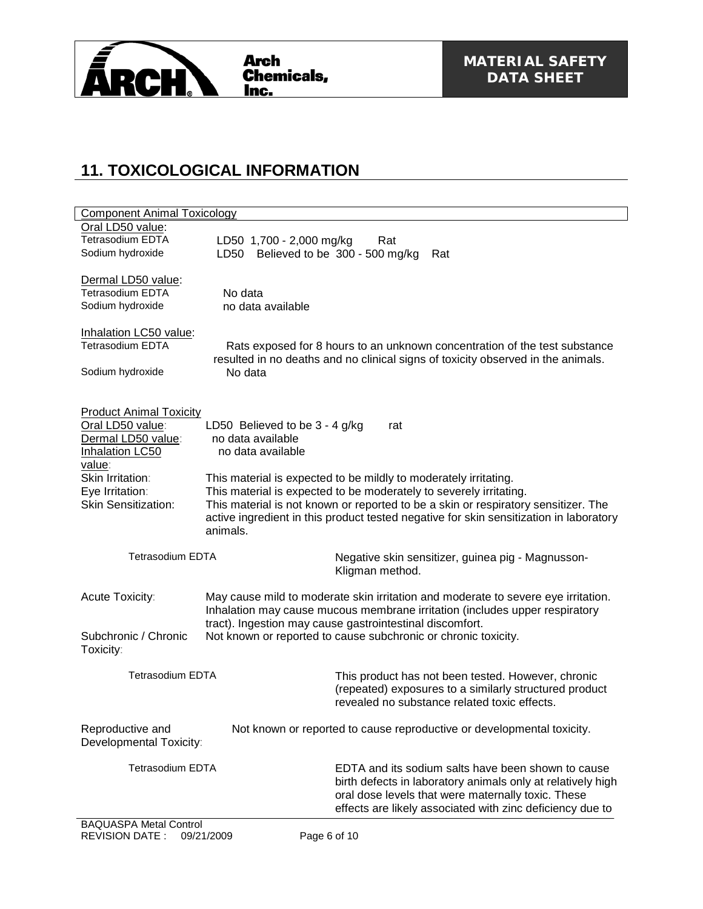

### **11. TOXICOLOGICAL INFORMATION**

| <b>Component Animal Toxicology</b>                                                          |                                                                                                                                                                                                                                                                                                                        |  |  |
|---------------------------------------------------------------------------------------------|------------------------------------------------------------------------------------------------------------------------------------------------------------------------------------------------------------------------------------------------------------------------------------------------------------------------|--|--|
| Oral LD50 value:                                                                            |                                                                                                                                                                                                                                                                                                                        |  |  |
| <b>Tetrasodium EDTA</b>                                                                     | LD50 1,700 - 2,000 mg/kg<br>Rat                                                                                                                                                                                                                                                                                        |  |  |
| Sodium hydroxide                                                                            | Believed to be 300 - 500 mg/kg<br>LD50<br>Rat                                                                                                                                                                                                                                                                          |  |  |
| Dermal LD50 value:                                                                          |                                                                                                                                                                                                                                                                                                                        |  |  |
| <b>Tetrasodium EDTA</b>                                                                     | No data                                                                                                                                                                                                                                                                                                                |  |  |
| Sodium hydroxide                                                                            | no data available                                                                                                                                                                                                                                                                                                      |  |  |
| Inhalation LC50 value:<br><b>Tetrasodium EDTA</b>                                           | Rats exposed for 8 hours to an unknown concentration of the test substance                                                                                                                                                                                                                                             |  |  |
| Sodium hydroxide                                                                            | resulted in no deaths and no clinical signs of toxicity observed in the animals.<br>No data                                                                                                                                                                                                                            |  |  |
| <b>Product Animal Toxicity</b><br>Oral LD50 value:<br>Dermal LD50 value:<br>Inhalation LC50 | LD50 Believed to be 3 - 4 g/kg<br>rat<br>no data available<br>no data available                                                                                                                                                                                                                                        |  |  |
| value:                                                                                      |                                                                                                                                                                                                                                                                                                                        |  |  |
| Skin Irritation:<br>Eye Irritation:<br><b>Skin Sensitization:</b>                           | This material is expected to be mildly to moderately irritating.<br>This material is expected to be moderately to severely irritating.<br>This material is not known or reported to be a skin or respiratory sensitizer. The<br>active ingredient in this product tested negative for skin sensitization in laboratory |  |  |
|                                                                                             | animals.                                                                                                                                                                                                                                                                                                               |  |  |
| <b>Tetrasodium EDTA</b>                                                                     | Negative skin sensitizer, guinea pig - Magnusson-<br>Kligman method.                                                                                                                                                                                                                                                   |  |  |
| Acute Toxicity:                                                                             | May cause mild to moderate skin irritation and moderate to severe eye irritation.<br>Inhalation may cause mucous membrane irritation (includes upper respiratory<br>tract). Ingestion may cause gastrointestinal discomfort.                                                                                           |  |  |
| Subchronic / Chronic<br>Toxicity:                                                           | Not known or reported to cause subchronic or chronic toxicity.                                                                                                                                                                                                                                                         |  |  |
| <b>Tetrasodium EDTA</b>                                                                     | This product has not been tested. However, chronic<br>(repeated) exposures to a similarly structured product<br>revealed no substance related toxic effects.                                                                                                                                                           |  |  |
| Reproductive and<br>Developmental Toxicity:                                                 | Not known or reported to cause reproductive or developmental toxicity.                                                                                                                                                                                                                                                 |  |  |
| <b>Tetrasodium EDTA</b>                                                                     | EDTA and its sodium salts have been shown to cause<br>birth defects in laboratory animals only at relatively high<br>oral dose levels that were maternally toxic. These<br>effects are likely associated with zinc deficiency due to                                                                                   |  |  |
| <b>BAQUASPA Metal Control</b>                                                               |                                                                                                                                                                                                                                                                                                                        |  |  |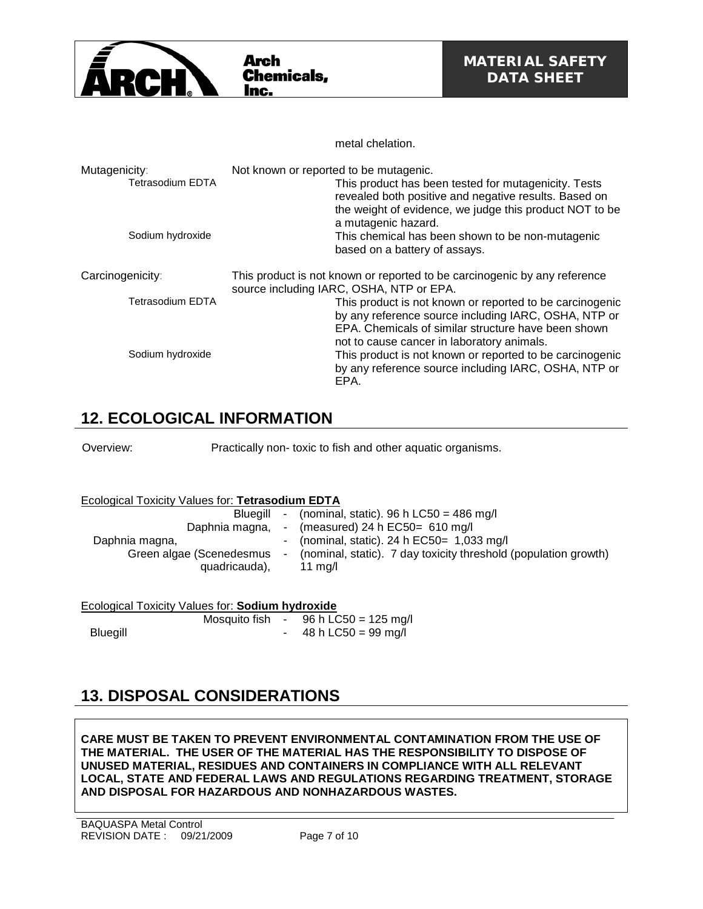

|                                          | metal chelation.                                                                                                                                                                                                      |
|------------------------------------------|-----------------------------------------------------------------------------------------------------------------------------------------------------------------------------------------------------------------------|
| Mutagenicity:<br><b>Tetrasodium EDTA</b> | Not known or reported to be mutagenic.<br>This product has been tested for mutagenicity. Tests<br>revealed both positive and negative results. Based on<br>the weight of evidence, we judge this product NOT to be    |
| Sodium hydroxide                         | a mutagenic hazard.<br>This chemical has been shown to be non-mutagenic<br>based on a battery of assays.                                                                                                              |
| Carcinogenicity:                         | This product is not known or reported to be carcinogenic by any reference<br>source including IARC, OSHA, NTP or EPA.                                                                                                 |
| <b>Tetrasodium EDTA</b>                  | This product is not known or reported to be carcinogenic<br>by any reference source including IARC, OSHA, NTP or<br>EPA. Chemicals of similar structure have been shown<br>not to cause cancer in laboratory animals. |
| Sodium hydroxide                         | This product is not known or reported to be carcinogenic<br>by any reference source including IARC, OSHA, NTP or<br>EPA.                                                                                              |

#### **12. ECOLOGICAL INFORMATION**

Overview: Practically non- toxic to fish and other aquatic organisms.

#### Ecological Toxicity Values for: **Tetrasodium EDTA**

| Blueaill<br>Daphnia magna,<br>Daphnia magna,<br>Green algae (Scenedesmus<br>quadricauda), | $\blacksquare$ | - (nominal, static). 96 h LC50 = 486 mg/l<br>- (measured) 24 h $EC50=610$ mg/l<br>- (nominal, static). 24 h $EC50 = 1,033$ mg/l<br>(nominal, static). 7 day toxicity threshold (population growth)<br>11 $ma/l$ |
|-------------------------------------------------------------------------------------------|----------------|-----------------------------------------------------------------------------------------------------------------------------------------------------------------------------------------------------------------|
|-------------------------------------------------------------------------------------------|----------------|-----------------------------------------------------------------------------------------------------------------------------------------------------------------------------------------------------------------|

#### Ecological Toxicity Values for: **Sodium hydroxide**

|                 | Mosquito fish | <b>Service</b> | 96 h LC50 = 125 mg/l |
|-----------------|---------------|----------------|----------------------|
| <b>Bluegill</b> |               |                | 48 h LC50 = 99 mg/l  |

# **13. DISPOSAL CONSIDERATIONS**

**CARE MUST BE TAKEN TO PREVENT ENVIRONMENTAL CONTAMINATION FROM THE USE OF THE MATERIAL. THE USER OF THE MATERIAL HAS THE RESPONSIBILITY TO DISPOSE OF UNUSED MATERIAL, RESIDUES AND CONTAINERS IN COMPLIANCE WITH ALL RELEVANT LOCAL, STATE AND FEDERAL LAWS AND REGULATIONS REGARDING TREATMENT, STORAGE AND DISPOSAL FOR HAZARDOUS AND NONHAZARDOUS WASTES.**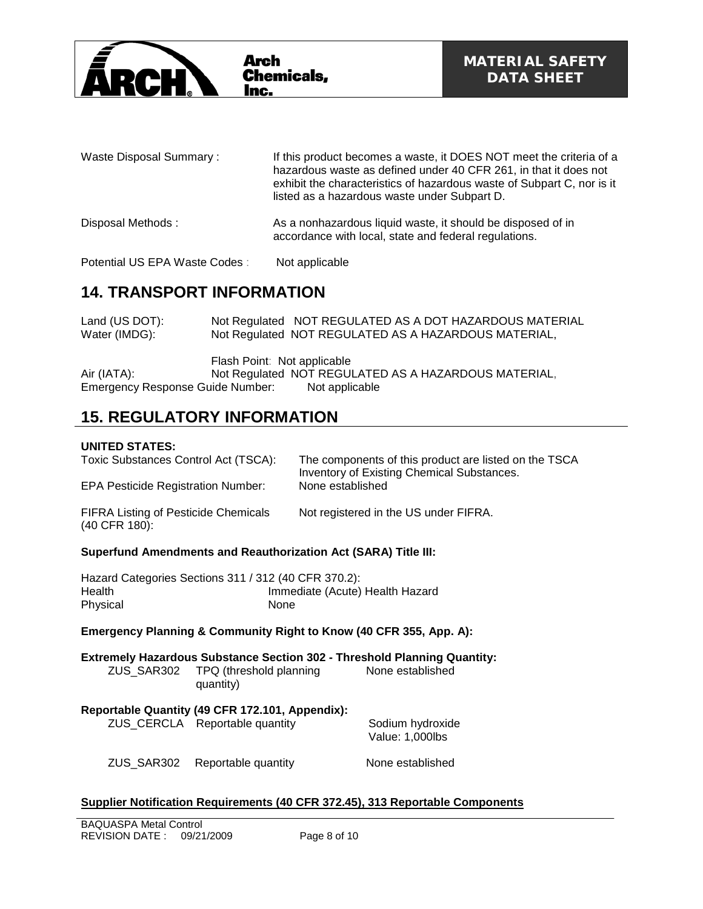

| Waste Disposal Summary:        | If this product becomes a waste, it DOES NOT meet the criteria of a<br>hazardous waste as defined under 40 CFR 261, in that it does not<br>exhibit the characteristics of hazardous waste of Subpart C, nor is it<br>listed as a hazardous waste under Subpart D. |
|--------------------------------|-------------------------------------------------------------------------------------------------------------------------------------------------------------------------------------------------------------------------------------------------------------------|
| Disposal Methods:              | As a nonhazardous liquid waste, it should be disposed of in<br>accordance with local, state and federal regulations.                                                                                                                                              |
| Potential US EPA Waste Codes : | Not applicable                                                                                                                                                                                                                                                    |

# **14. TRANSPORT INFORMATION**

| Land (US DOT):<br>Water (IMDG):  | Not Regulated NOT REGULATED AS A DOT HAZARDOUS MATERIAL<br>Not Regulated NOT REGULATED AS A HAZARDOUS MATERIAL, |
|----------------------------------|-----------------------------------------------------------------------------------------------------------------|
| Air (IATA):                      | Flash Point: Not applicable<br>Not Regulated NOT REGULATED AS A HAZARDOUS MATERIAL,                             |
| Emergency Response Guide Number: | Not applicable                                                                                                  |

# **15. REGULATORY INFORMATION**

#### **UNITED STATES:**

| Toxic Substances Control Act (TSCA):                                  |                                                                                                 | The components of this product are listed on the TSCA<br><b>Inventory of Existing Chemical Substances.</b> |                                                                          |  |  |
|-----------------------------------------------------------------------|-------------------------------------------------------------------------------------------------|------------------------------------------------------------------------------------------------------------|--------------------------------------------------------------------------|--|--|
| <b>EPA Pesticide Registration Number:</b>                             |                                                                                                 |                                                                                                            | None established                                                         |  |  |
| <b>FIFRA Listing of Pesticide Chemicals</b><br>(40 CFR 180):          |                                                                                                 |                                                                                                            | Not registered in the US under FIFRA.                                    |  |  |
| <b>Superfund Amendments and Reauthorization Act (SARA) Title III:</b> |                                                                                                 |                                                                                                            |                                                                          |  |  |
| Health<br>Physical                                                    | Hazard Categories Sections 311 / 312 (40 CFR 370.2):<br>Immediate (Acute) Health Hazard<br>None |                                                                                                            |                                                                          |  |  |
| Emergency Planning & Community Right to Know (40 CFR 355, App. A):    |                                                                                                 |                                                                                                            |                                                                          |  |  |
|                                                                       |                                                                                                 |                                                                                                            | Extremely Hazardous Substance Section 302 - Threshold Planning Quantity: |  |  |
| ZUS SAR302                                                            | TPQ (threshold planning                                                                         |                                                                                                            |                                                                          |  |  |
|                                                                       | quantity)                                                                                       |                                                                                                            | None established                                                         |  |  |
|                                                                       |                                                                                                 |                                                                                                            |                                                                          |  |  |
| Reportable Quantity (49 CFR 172.101, Appendix):                       | ZUS_CERCLA Reportable quantity                                                                  |                                                                                                            | Sodium hydroxide<br>Value: 1,000lbs                                      |  |  |

#### **Supplier Notification Requirements (40 CFR 372.45), 313 Reportable Components**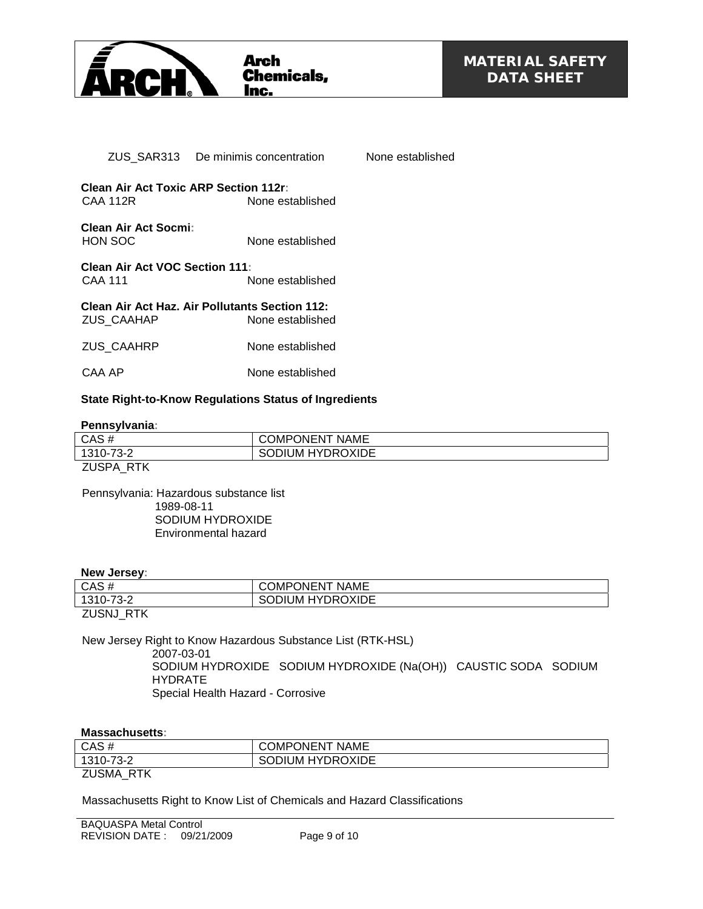

|                                                                 | ZUS SAR313 De minimis concentration Mone established               |  |
|-----------------------------------------------------------------|--------------------------------------------------------------------|--|
| <b>Clean Air Act Toxic ARP Section 112r:</b><br><b>CAA 112R</b> | None established                                                   |  |
| Clean Air Act Socmi:<br><b>HON SOC</b>                          | None established                                                   |  |
| <b>Clean Air Act VOC Section 111:</b><br><b>CAA 111</b>         | None established                                                   |  |
| ZUS CAAHAP                                                      | Clean Air Act Haz. Air Pollutants Section 112:<br>None established |  |
| <b>ZUS CAAHRP</b>                                               | None established                                                   |  |
| CAA AP                                                          | None established                                                   |  |

#### **State Right-to-Know Regulations Status of Ingredients**

#### **Pennsylvania:**

| CAS#                        | <b>NAME</b><br><b>ONENT</b><br>)MP |
|-----------------------------|------------------------------------|
| 1310-73-<br>- - -           | <b>HYDROXIDE</b><br>JM<br>ш        |
| $\mathbf{a}$ . $\mathbf{a}$ |                                    |

ZUSPA\_RTK

Pennsylvania: Hazardous substance list 1989-08-11 SODIUM HYDROXIDE Environmental hazard

#### **New Jersey:**

| CAS#            | COMPONENT<br><b>NAME</b> |  |
|-----------------|--------------------------|--|
| 1310-73-2       | <b>HYDROXIDE</b><br>Muic |  |
| DTK.<br>7110N11 |                          |  |

ZUSNJ\_RTK

New Jersey Right to Know Hazardous Substance List (RTK-HSL) 2007-03-01 SODIUM HYDROXIDE SODIUM HYDROXIDE (Na(OH)) CAUSTIC SODA SODIUM HYDRATE

Special Health Hazard - Corrosive

#### **Massachusetts:**

| CAS#             | <b>COMPONENT NAME</b>   |
|------------------|-------------------------|
| 1310-73-2        | <b>SODIUM HYDROXIDE</b> |
| <b>ZUSMA RTK</b> |                         |

Massachusetts Right to Know List of Chemicals and Hazard Classifications